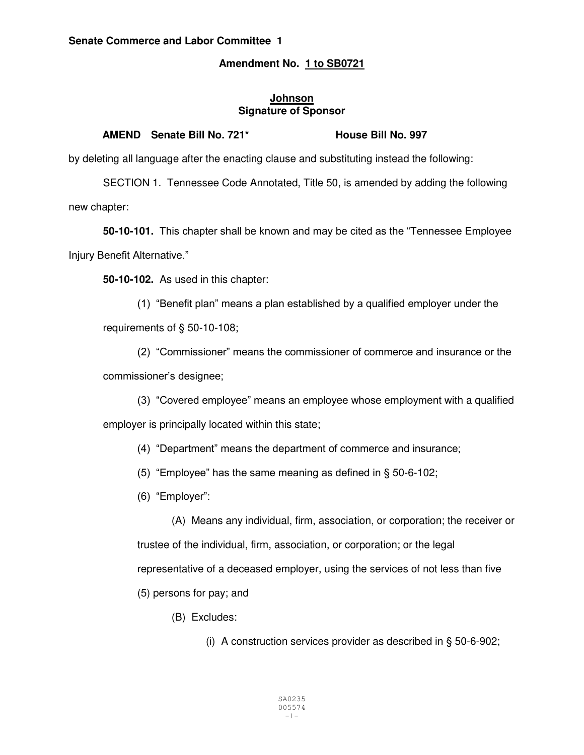## **Senate Commerce and Labor Committee 1**

# **Amendment No. 1 to SB0721**

## **Johnson Signature of Sponsor**

## **AMEND Senate Bill No. 721\* House Bill No. 997**

by deleting all language after the enacting clause and substituting instead the following:

SECTION 1. Tennessee Code Annotated, Title 50, is amended by adding the following new chapter:

**50-10-101.** This chapter shall be known and may be cited as the "Tennessee Employee Injury Benefit Alternative."

**50-10-102.** As used in this chapter:

(1) "Benefit plan" means a plan established by a qualified employer under the requirements of § 50-10-108;

(2) "Commissioner" means the commissioner of commerce and insurance or the commissioner's designee;

(3) "Covered employee" means an employee whose employment with a qualified employer is principally located within this state;

(4) "Department" means the department of commerce and insurance;

(5) "Employee" has the same meaning as defined in § 50-6-102;

(6) "Employer":

(A) Means any individual, firm, association, or corporation; the receiver or trustee of the individual, firm, association, or corporation; or the legal representative of a deceased employer, using the services of not less than five

(5) persons for pay; and

(B) Excludes:

(i) A construction services provider as described in § 50-6-902;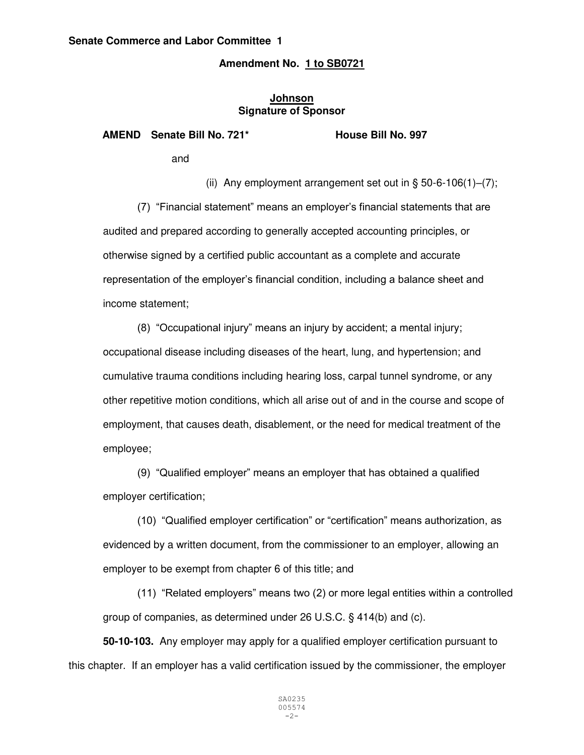## **Amendment No. 1 to SB0721**

## **Johnson Signature of Sponsor**

AMEND Senate Bill No. 721\* House Bill No. 997

and

(ii) Any employment arrangement set out in  $\S$  50-6-106(1)–(7);

(7) "Financial statement" means an employer's financial statements that are audited and prepared according to generally accepted accounting principles, or otherwise signed by a certified public accountant as a complete and accurate representation of the employer's financial condition, including a balance sheet and income statement;

(8) "Occupational injury" means an injury by accident; a mental injury; occupational disease including diseases of the heart, lung, and hypertension; and cumulative trauma conditions including hearing loss, carpal tunnel syndrome, or any other repetitive motion conditions, which all arise out of and in the course and scope of employment, that causes death, disablement, or the need for medical treatment of the employee;

(9) "Qualified employer" means an employer that has obtained a qualified employer certification;

(10) "Qualified employer certification" or "certification" means authorization, as evidenced by a written document, from the commissioner to an employer, allowing an employer to be exempt from chapter 6 of this title; and

(11) "Related employers" means two (2) or more legal entities within a controlled group of companies, as determined under 26 U.S.C. § 414(b) and (c).

**50-10-103.** Any employer may apply for a qualified employer certification pursuant to this chapter. If an employer has a valid certification issued by the commissioner, the employer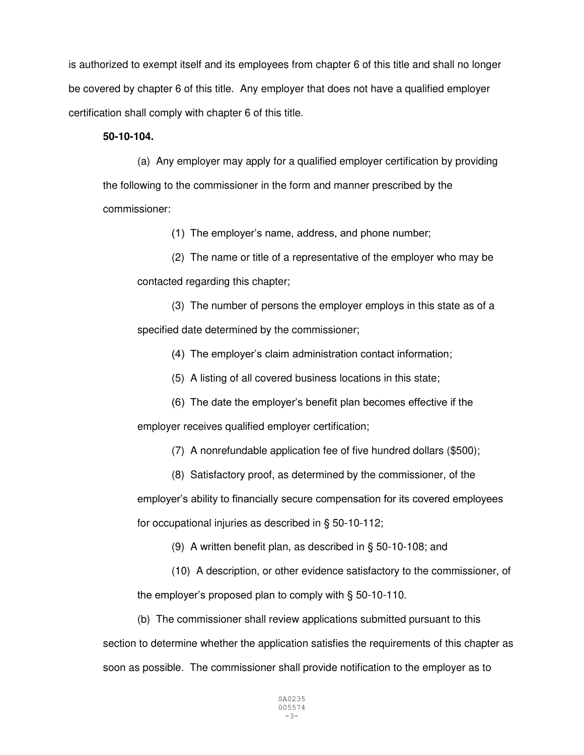is authorized to exempt itself and its employees from chapter 6 of this title and shall no longer be covered by chapter 6 of this title. Any employer that does not have a qualified employer certification shall comply with chapter 6 of this title.

## **50-10-104.**

 (a) Any employer may apply for a qualified employer certification by providing the following to the commissioner in the form and manner prescribed by the commissioner:

(1) The employer's name, address, and phone number;

 (2) The name or title of a representative of the employer who may be contacted regarding this chapter;

 (3) The number of persons the employer employs in this state as of a specified date determined by the commissioner;

(4) The employer's claim administration contact information;

(5) A listing of all covered business locations in this state;

(6) The date the employer's benefit plan becomes effective if the employer receives qualified employer certification;

(7) A nonrefundable application fee of five hundred dollars (\$500);

 (8) Satisfactory proof, as determined by the commissioner, of the employer's ability to financially secure compensation for its covered employees for occupational injuries as described in § 50-10-112;

(9) A written benefit plan, as described in § 50-10-108; and

 (10) A description, or other evidence satisfactory to the commissioner, of the employer's proposed plan to comply with § 50-10-110.

(b) The commissioner shall review applications submitted pursuant to this

section to determine whether the application satisfies the requirements of this chapter as soon as possible. The commissioner shall provide notification to the employer as to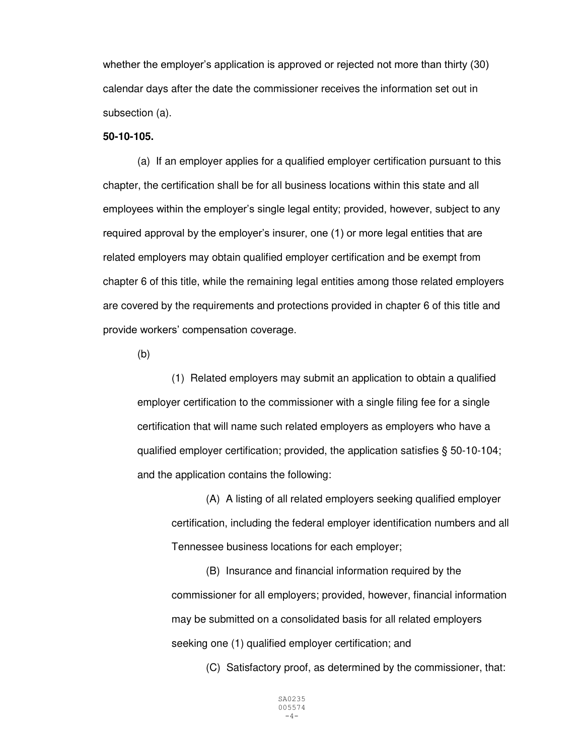whether the employer's application is approved or rejected not more than thirty (30) calendar days after the date the commissioner receives the information set out in subsection (a).

### **50-10-105.**

(a) If an employer applies for a qualified employer certification pursuant to this chapter, the certification shall be for all business locations within this state and all employees within the employer's single legal entity; provided, however, subject to any required approval by the employer's insurer, one (1) or more legal entities that are related employers may obtain qualified employer certification and be exempt from chapter 6 of this title, while the remaining legal entities among those related employers are covered by the requirements and protections provided in chapter 6 of this title and provide workers' compensation coverage.

(b)

(1) Related employers may submit an application to obtain a qualified employer certification to the commissioner with a single filing fee for a single certification that will name such related employers as employers who have a qualified employer certification; provided, the application satisfies § 50-10-104; and the application contains the following:

 (A) A listing of all related employers seeking qualified employer certification, including the federal employer identification numbers and all Tennessee business locations for each employer;

 (B) Insurance and financial information required by the commissioner for all employers; provided, however, financial information may be submitted on a consolidated basis for all related employers seeking one (1) qualified employer certification; and

(C) Satisfactory proof, as determined by the commissioner, that: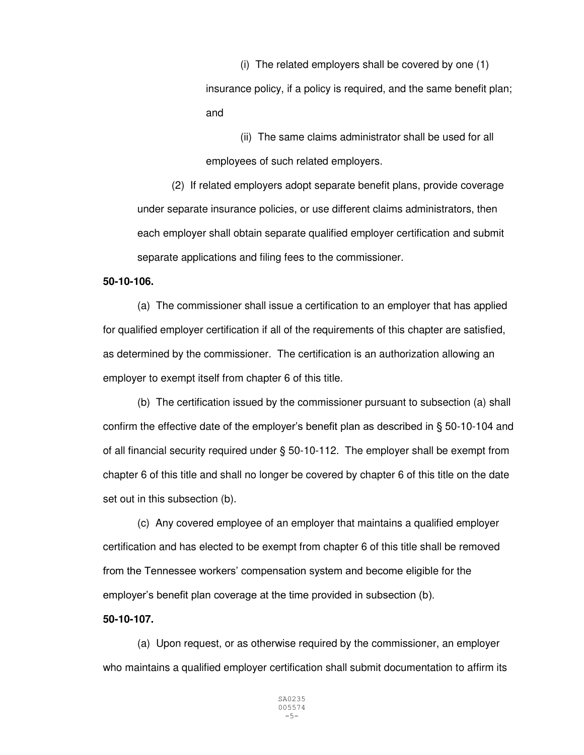(i) The related employers shall be covered by one (1) insurance policy, if a policy is required, and the same benefit plan; and

(ii) The same claims administrator shall be used for all employees of such related employers.

 (2) If related employers adopt separate benefit plans, provide coverage under separate insurance policies, or use different claims administrators, then each employer shall obtain separate qualified employer certification and submit separate applications and filing fees to the commissioner.

#### **50-10-106.**

(a) The commissioner shall issue a certification to an employer that has applied for qualified employer certification if all of the requirements of this chapter are satisfied, as determined by the commissioner. The certification is an authorization allowing an employer to exempt itself from chapter 6 of this title.

(b) The certification issued by the commissioner pursuant to subsection (a) shall confirm the effective date of the employer's benefit plan as described in § 50-10-104 and of all financial security required under § 50-10-112. The employer shall be exempt from chapter 6 of this title and shall no longer be covered by chapter 6 of this title on the date set out in this subsection (b).

(c) Any covered employee of an employer that maintains a qualified employer certification and has elected to be exempt from chapter 6 of this title shall be removed from the Tennessee workers' compensation system and become eligible for the employer's benefit plan coverage at the time provided in subsection (b).

## **50-10-107.**

 (a) Upon request, or as otherwise required by the commissioner, an employer who maintains a qualified employer certification shall submit documentation to affirm its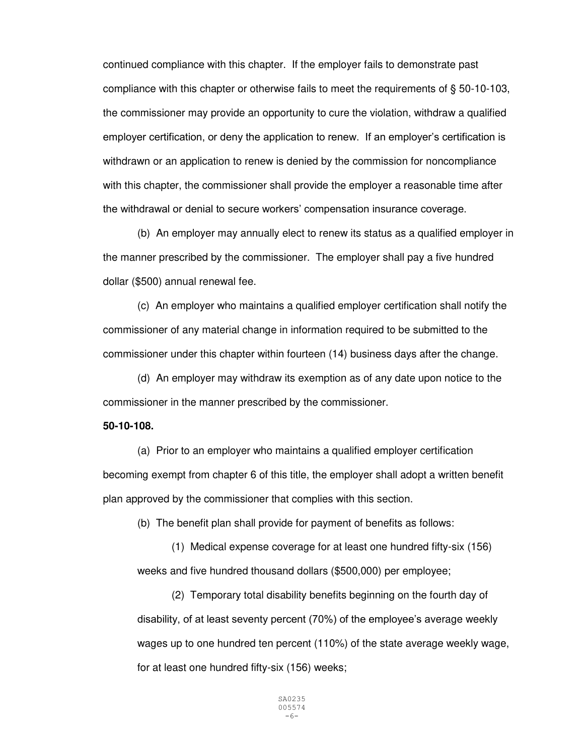continued compliance with this chapter. If the employer fails to demonstrate past compliance with this chapter or otherwise fails to meet the requirements of § 50-10-103, the commissioner may provide an opportunity to cure the violation, withdraw a qualified employer certification, or deny the application to renew. If an employer's certification is withdrawn or an application to renew is denied by the commission for noncompliance with this chapter, the commissioner shall provide the employer a reasonable time after the withdrawal or denial to secure workers' compensation insurance coverage.

(b) An employer may annually elect to renew its status as a qualified employer in the manner prescribed by the commissioner. The employer shall pay a five hundred dollar (\$500) annual renewal fee.

(c) An employer who maintains a qualified employer certification shall notify the commissioner of any material change in information required to be submitted to the commissioner under this chapter within fourteen (14) business days after the change.

 (d) An employer may withdraw its exemption as of any date upon notice to the commissioner in the manner prescribed by the commissioner.

## **50-10-108.**

 (a) Prior to an employer who maintains a qualified employer certification becoming exempt from chapter 6 of this title, the employer shall adopt a written benefit plan approved by the commissioner that complies with this section.

(b) The benefit plan shall provide for payment of benefits as follows:

 (1) Medical expense coverage for at least one hundred fifty-six (156) weeks and five hundred thousand dollars (\$500,000) per employee;

 (2) Temporary total disability benefits beginning on the fourth day of disability, of at least seventy percent (70%) of the employee's average weekly wages up to one hundred ten percent (110%) of the state average weekly wage, for at least one hundred fifty-six (156) weeks;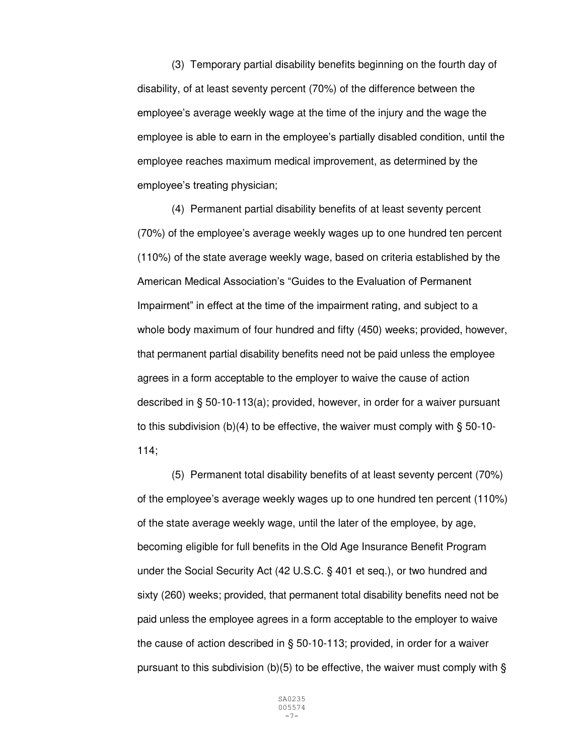(3) Temporary partial disability benefits beginning on the fourth day of disability, of at least seventy percent (70%) of the difference between the employee's average weekly wage at the time of the injury and the wage the employee is able to earn in the employee's partially disabled condition, until the employee reaches maximum medical improvement, as determined by the employee's treating physician;

(4) Permanent partial disability benefits of at least seventy percent (70%) of the employee's average weekly wages up to one hundred ten percent (110%) of the state average weekly wage, based on criteria established by the American Medical Association's "Guides to the Evaluation of Permanent Impairment" in effect at the time of the impairment rating, and subject to a whole body maximum of four hundred and fifty (450) weeks; provided, however, that permanent partial disability benefits need not be paid unless the employee agrees in a form acceptable to the employer to waive the cause of action described in § 50-10-113(a); provided, however, in order for a waiver pursuant to this subdivision (b)(4) to be effective, the waiver must comply with § 50-10- 114;

(5) Permanent total disability benefits of at least seventy percent (70%) of the employee's average weekly wages up to one hundred ten percent (110%) of the state average weekly wage, until the later of the employee, by age, becoming eligible for full benefits in the Old Age Insurance Benefit Program under the Social Security Act (42 U.S.C. § 401 et seq.), or two hundred and sixty (260) weeks; provided, that permanent total disability benefits need not be paid unless the employee agrees in a form acceptable to the employer to waive the cause of action described in § 50-10-113; provided, in order for a waiver pursuant to this subdivision (b)(5) to be effective, the waiver must comply with  $\S$ 

> SA0235 005574 -7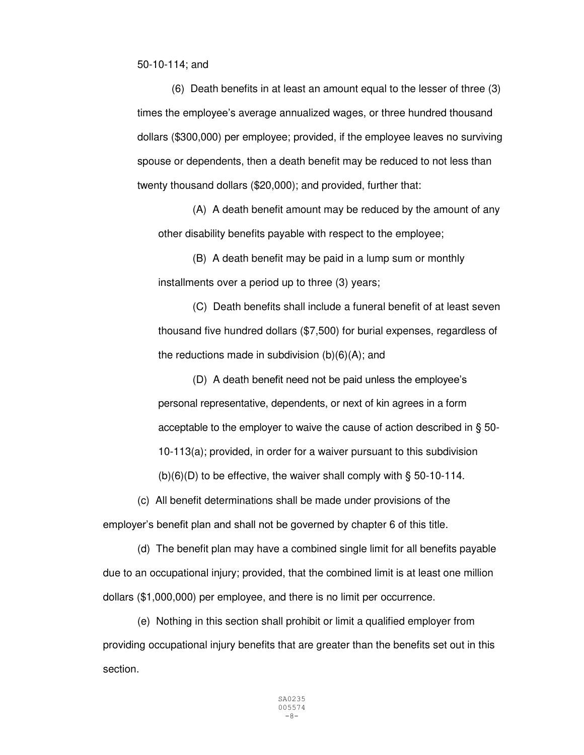50-10-114; and

(6) Death benefits in at least an amount equal to the lesser of three (3) times the employee's average annualized wages, or three hundred thousand dollars (\$300,000) per employee; provided, if the employee leaves no surviving spouse or dependents, then a death benefit may be reduced to not less than twenty thousand dollars (\$20,000); and provided, further that:

(A) A death benefit amount may be reduced by the amount of any other disability benefits payable with respect to the employee;

(B) A death benefit may be paid in a lump sum or monthly installments over a period up to three (3) years;

(C) Death benefits shall include a funeral benefit of at least seven thousand five hundred dollars (\$7,500) for burial expenses, regardless of the reductions made in subdivision  $(b)(6)(A)$ ; and

(D) A death benefit need not be paid unless the employee's personal representative, dependents, or next of kin agrees in a form acceptable to the employer to waive the cause of action described in § 50- 10-113(a); provided, in order for a waiver pursuant to this subdivision

 $(b)(6)(D)$  to be effective, the waiver shall comply with § 50-10-114.

(c) All benefit determinations shall be made under provisions of the

employer's benefit plan and shall not be governed by chapter 6 of this title.

 (d) The benefit plan may have a combined single limit for all benefits payable due to an occupational injury; provided, that the combined limit is at least one million dollars (\$1,000,000) per employee, and there is no limit per occurrence.

 (e) Nothing in this section shall prohibit or limit a qualified employer from providing occupational injury benefits that are greater than the benefits set out in this section.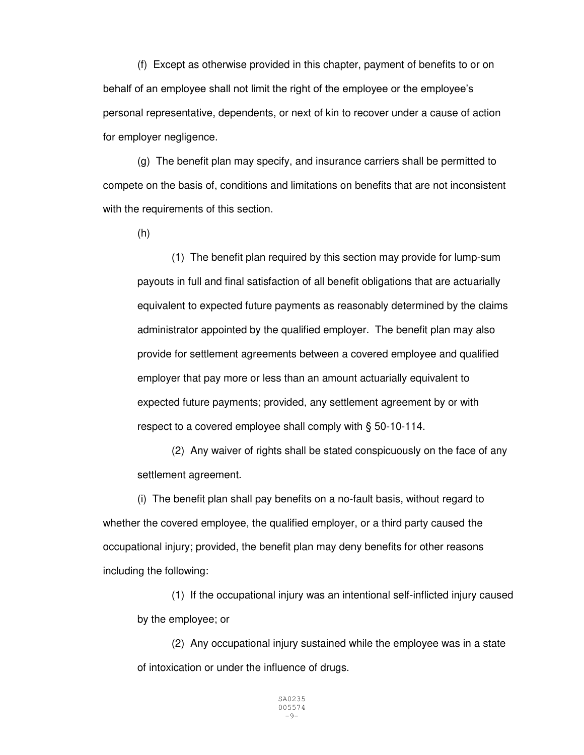(f) Except as otherwise provided in this chapter, payment of benefits to or on behalf of an employee shall not limit the right of the employee or the employee's personal representative, dependents, or next of kin to recover under a cause of action for employer negligence.

 (g) The benefit plan may specify, and insurance carriers shall be permitted to compete on the basis of, conditions and limitations on benefits that are not inconsistent with the requirements of this section.

(h)

 (1) The benefit plan required by this section may provide for lump-sum payouts in full and final satisfaction of all benefit obligations that are actuarially equivalent to expected future payments as reasonably determined by the claims administrator appointed by the qualified employer. The benefit plan may also provide for settlement agreements between a covered employee and qualified employer that pay more or less than an amount actuarially equivalent to expected future payments; provided, any settlement agreement by or with respect to a covered employee shall comply with § 50-10-114.

 (2) Any waiver of rights shall be stated conspicuously on the face of any settlement agreement.

 (i) The benefit plan shall pay benefits on a no-fault basis, without regard to whether the covered employee, the qualified employer, or a third party caused the occupational injury; provided, the benefit plan may deny benefits for other reasons including the following:

 (1) If the occupational injury was an intentional self-inflicted injury caused by the employee; or

 (2) Any occupational injury sustained while the employee was in a state of intoxication or under the influence of drugs.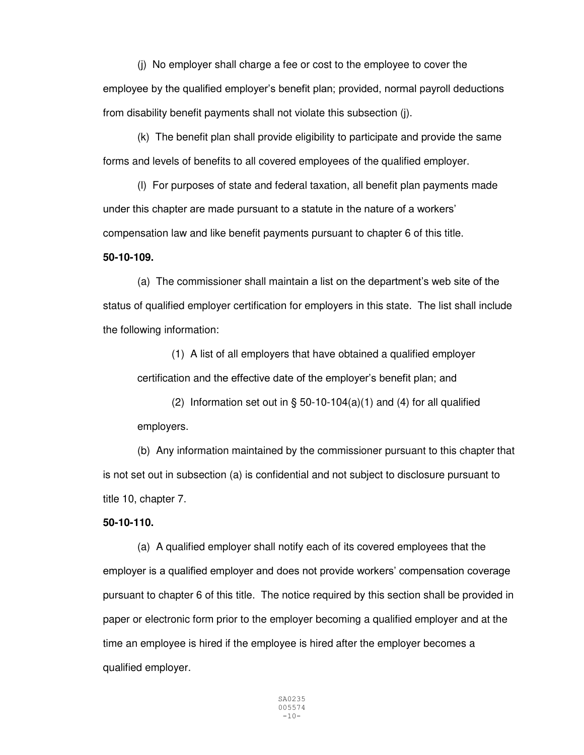(j) No employer shall charge a fee or cost to the employee to cover the employee by the qualified employer's benefit plan; provided, normal payroll deductions from disability benefit payments shall not violate this subsection (j).

 (k) The benefit plan shall provide eligibility to participate and provide the same forms and levels of benefits to all covered employees of the qualified employer.

 (l) For purposes of state and federal taxation, all benefit plan payments made under this chapter are made pursuant to a statute in the nature of a workers' compensation law and like benefit payments pursuant to chapter 6 of this title.

## **50-10-109.**

(a) The commissioner shall maintain a list on the department's web site of the status of qualified employer certification for employers in this state. The list shall include the following information:

(1) A list of all employers that have obtained a qualified employer certification and the effective date of the employer's benefit plan; and

(2) Information set out in  $\S$  50-10-104(a)(1) and (4) for all qualified employers.

(b) Any information maintained by the commissioner pursuant to this chapter that is not set out in subsection (a) is confidential and not subject to disclosure pursuant to title 10, chapter 7.

## **50-10-110.**

 (a) A qualified employer shall notify each of its covered employees that the employer is a qualified employer and does not provide workers' compensation coverage pursuant to chapter 6 of this title. The notice required by this section shall be provided in paper or electronic form prior to the employer becoming a qualified employer and at the time an employee is hired if the employee is hired after the employer becomes a qualified employer.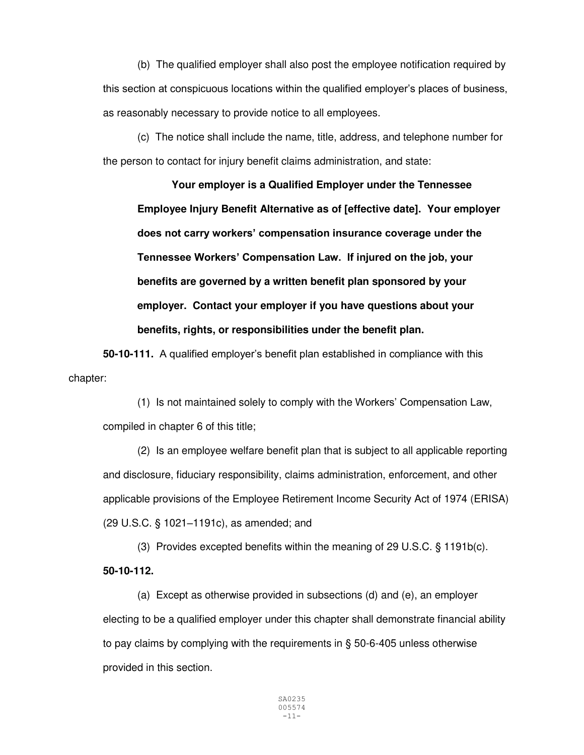(b) The qualified employer shall also post the employee notification required by this section at conspicuous locations within the qualified employer's places of business, as reasonably necessary to provide notice to all employees.

 (c) The notice shall include the name, title, address, and telephone number for the person to contact for injury benefit claims administration, and state:

**Your employer is a Qualified Employer under the Tennessee Employee Injury Benefit Alternative as of [effective date]. Your employer does not carry workers' compensation insurance coverage under the Tennessee Workers' Compensation Law. If injured on the job, your benefits are governed by a written benefit plan sponsored by your employer. Contact your employer if you have questions about your benefits, rights, or responsibilities under the benefit plan.** 

**50-10-111.** A qualified employer's benefit plan established in compliance with this chapter:

 (1) Is not maintained solely to comply with the Workers' Compensation Law, compiled in chapter 6 of this title;

 (2) Is an employee welfare benefit plan that is subject to all applicable reporting and disclosure, fiduciary responsibility, claims administration, enforcement, and other applicable provisions of the Employee Retirement Income Security Act of 1974 (ERISA) (29 U.S.C. § 1021–1191c), as amended; and

 (3) Provides excepted benefits within the meaning of 29 U.S.C. § 1191b(c). **50-10-112.**

 (a) Except as otherwise provided in subsections (d) and (e), an employer electing to be a qualified employer under this chapter shall demonstrate financial ability to pay claims by complying with the requirements in § 50-6-405 unless otherwise provided in this section.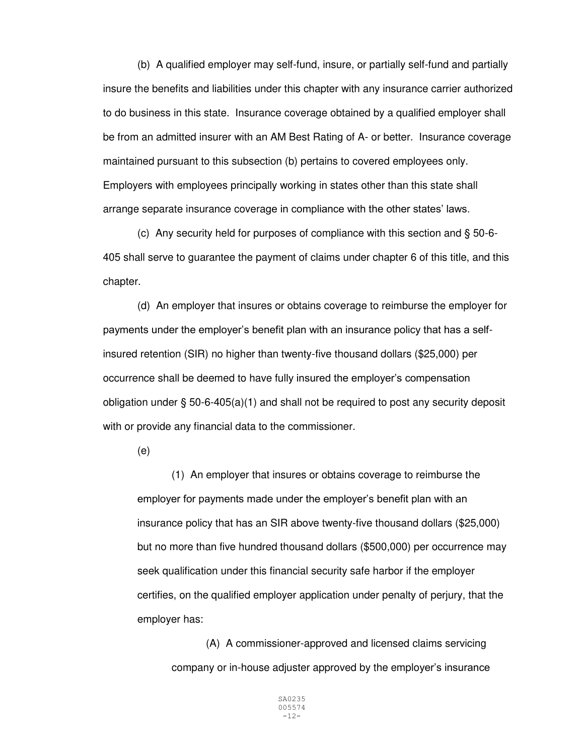(b) A qualified employer may self-fund, insure, or partially self-fund and partially insure the benefits and liabilities under this chapter with any insurance carrier authorized to do business in this state. Insurance coverage obtained by a qualified employer shall be from an admitted insurer with an AM Best Rating of A- or better. Insurance coverage maintained pursuant to this subsection (b) pertains to covered employees only. Employers with employees principally working in states other than this state shall arrange separate insurance coverage in compliance with the other states' laws.

 (c) Any security held for purposes of compliance with this section and § 50-6- 405 shall serve to guarantee the payment of claims under chapter 6 of this title, and this chapter.

 (d) An employer that insures or obtains coverage to reimburse the employer for payments under the employer's benefit plan with an insurance policy that has a selfinsured retention (SIR) no higher than twenty-five thousand dollars (\$25,000) per occurrence shall be deemed to have fully insured the employer's compensation obligation under § 50-6-405(a)(1) and shall not be required to post any security deposit with or provide any financial data to the commissioner.

(e)

 (1) An employer that insures or obtains coverage to reimburse the employer for payments made under the employer's benefit plan with an insurance policy that has an SIR above twenty-five thousand dollars (\$25,000) but no more than five hundred thousand dollars (\$500,000) per occurrence may seek qualification under this financial security safe harbor if the employer certifies, on the qualified employer application under penalty of perjury, that the employer has:

 (A) A commissioner-approved and licensed claims servicing company or in-house adjuster approved by the employer's insurance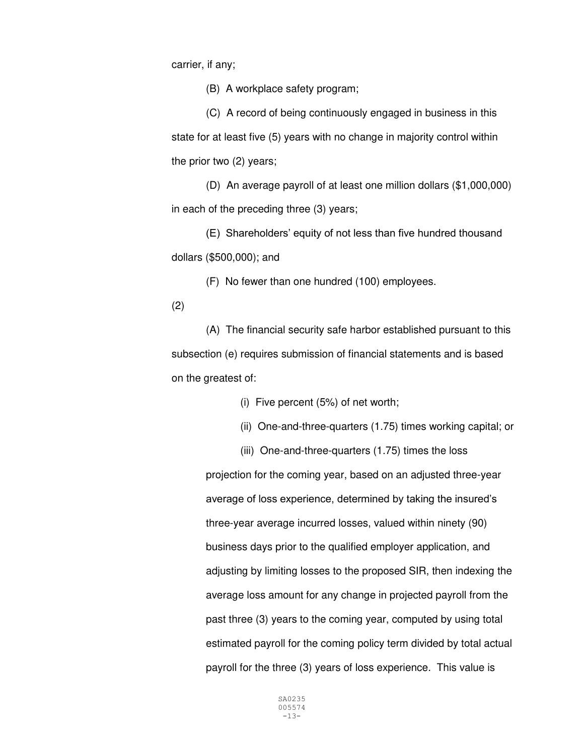carrier, if any;

(B) A workplace safety program;

 (C) A record of being continuously engaged in business in this state for at least five (5) years with no change in majority control within the prior two (2) years;

 (D) An average payroll of at least one million dollars (\$1,000,000) in each of the preceding three (3) years;

(E) Shareholders' equity of not less than five hundred thousand dollars (\$500,000); and

(F) No fewer than one hundred (100) employees.

(2)

 (A) The financial security safe harbor established pursuant to this subsection (e) requires submission of financial statements and is based on the greatest of:

(i) Five percent (5%) of net worth;

(ii) One-and-three-quarters (1.75) times working capital; or

(iii) One-and-three-quarters (1.75) times the loss

projection for the coming year, based on an adjusted three-year average of loss experience, determined by taking the insured's three-year average incurred losses, valued within ninety (90) business days prior to the qualified employer application, and adjusting by limiting losses to the proposed SIR, then indexing the average loss amount for any change in projected payroll from the past three (3) years to the coming year, computed by using total estimated payroll for the coming policy term divided by total actual payroll for the three (3) years of loss experience. This value is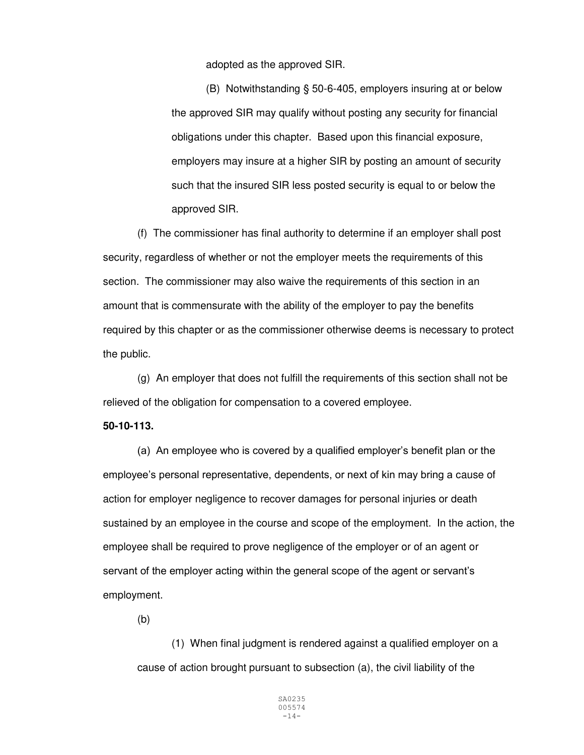adopted as the approved SIR.

 (B) Notwithstanding § 50-6-405, employers insuring at or below the approved SIR may qualify without posting any security for financial obligations under this chapter. Based upon this financial exposure, employers may insure at a higher SIR by posting an amount of security such that the insured SIR less posted security is equal to or below the approved SIR.

 (f) The commissioner has final authority to determine if an employer shall post security, regardless of whether or not the employer meets the requirements of this section. The commissioner may also waive the requirements of this section in an amount that is commensurate with the ability of the employer to pay the benefits required by this chapter or as the commissioner otherwise deems is necessary to protect the public.

 (g) An employer that does not fulfill the requirements of this section shall not be relieved of the obligation for compensation to a covered employee.

#### **50-10-113.**

(a) An employee who is covered by a qualified employer's benefit plan or the employee's personal representative, dependents, or next of kin may bring a cause of action for employer negligence to recover damages for personal injuries or death sustained by an employee in the course and scope of the employment. In the action, the employee shall be required to prove negligence of the employer or of an agent or servant of the employer acting within the general scope of the agent or servant's employment.

(b)

(1) When final judgment is rendered against a qualified employer on a cause of action brought pursuant to subsection (a), the civil liability of the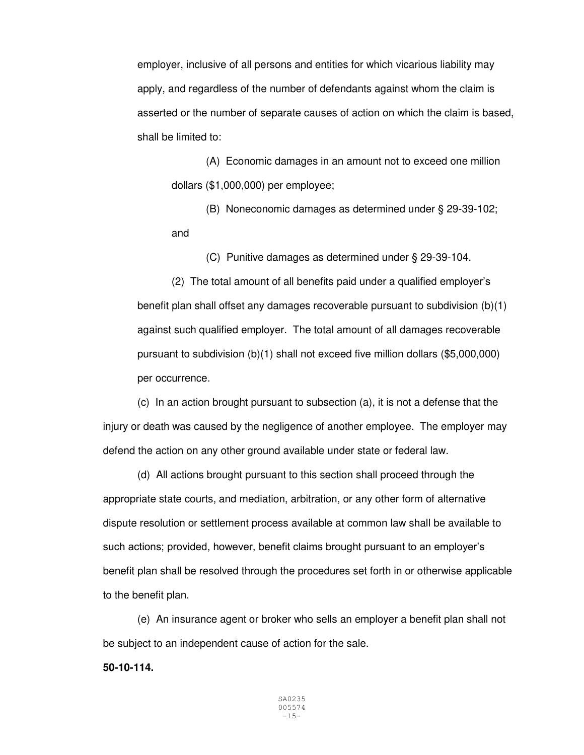employer, inclusive of all persons and entities for which vicarious liability may apply, and regardless of the number of defendants against whom the claim is asserted or the number of separate causes of action on which the claim is based, shall be limited to:

 (A) Economic damages in an amount not to exceed one million dollars (\$1,000,000) per employee;

 (B) Noneconomic damages as determined under § 29-39-102; and

(C) Punitive damages as determined under § 29-39-104.

 (2) The total amount of all benefits paid under a qualified employer's benefit plan shall offset any damages recoverable pursuant to subdivision (b)(1) against such qualified employer. The total amount of all damages recoverable pursuant to subdivision (b)(1) shall not exceed five million dollars (\$5,000,000) per occurrence.

 (c) In an action brought pursuant to subsection (a), it is not a defense that the injury or death was caused by the negligence of another employee. The employer may defend the action on any other ground available under state or federal law.

 (d) All actions brought pursuant to this section shall proceed through the appropriate state courts, and mediation, arbitration, or any other form of alternative dispute resolution or settlement process available at common law shall be available to such actions; provided, however, benefit claims brought pursuant to an employer's benefit plan shall be resolved through the procedures set forth in or otherwise applicable to the benefit plan.

 (e) An insurance agent or broker who sells an employer a benefit plan shall not be subject to an independent cause of action for the sale.

**50-10-114.**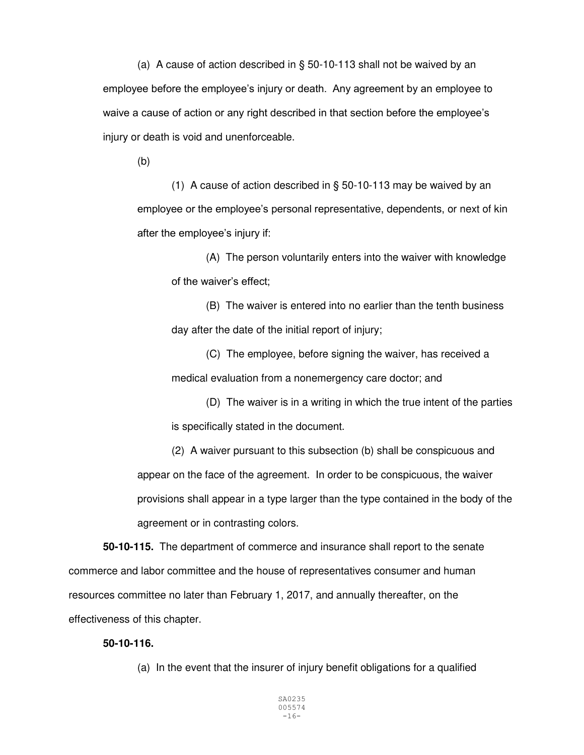(a) A cause of action described in § 50-10-113 shall not be waived by an employee before the employee's injury or death. Any agreement by an employee to waive a cause of action or any right described in that section before the employee's injury or death is void and unenforceable.

(b)

 (1) A cause of action described in § 50-10-113 may be waived by an employee or the employee's personal representative, dependents, or next of kin after the employee's injury if:

 (A) The person voluntarily enters into the waiver with knowledge of the waiver's effect;

 (B) The waiver is entered into no earlier than the tenth business day after the date of the initial report of injury;

 (C) The employee, before signing the waiver, has received a medical evaluation from a nonemergency care doctor; and

 (D) The waiver is in a writing in which the true intent of the parties is specifically stated in the document.

 (2) A waiver pursuant to this subsection (b) shall be conspicuous and appear on the face of the agreement. In order to be conspicuous, the waiver provisions shall appear in a type larger than the type contained in the body of the agreement or in contrasting colors.

**50-10-115.** The department of commerce and insurance shall report to the senate commerce and labor committee and the house of representatives consumer and human resources committee no later than February 1, 2017, and annually thereafter, on the effectiveness of this chapter.

## **50-10-116.**

(a) In the event that the insurer of injury benefit obligations for a qualified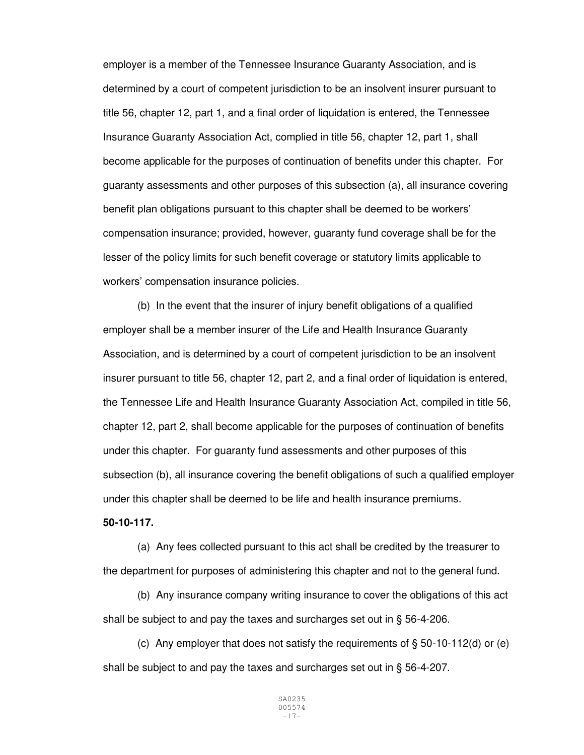employer is a member of the Tennessee Insurance Guaranty Association, and is determined by a court of competent jurisdiction to be an insolvent insurer pursuant to title 56, chapter 12, part 1, and a final order of liquidation is entered, the Tennessee Insurance Guaranty Association Act, complied in title 56, chapter 12, part 1, shall become applicable for the purposes of continuation of benefits under this chapter. For guaranty assessments and other purposes of this subsection (a), all insurance covering benefit plan obligations pursuant to this chapter shall be deemed to be workers' compensation insurance; provided, however, guaranty fund coverage shall be for the lesser of the policy limits for such benefit coverage or statutory limits applicable to workers' compensation insurance policies.

(b) In the event that the insurer of injury benefit obligations of a qualified employer shall be a member insurer of the Life and Health Insurance Guaranty Association, and is determined by a court of competent jurisdiction to be an insolvent insurer pursuant to title 56, chapter 12, part 2, and a final order of liquidation is entered, the Tennessee Life and Health Insurance Guaranty Association Act, compiled in title 56, chapter 12, part 2, shall become applicable for the purposes of continuation of benefits under this chapter. For guaranty fund assessments and other purposes of this subsection (b), all insurance covering the benefit obligations of such a qualified employer under this chapter shall be deemed to be life and health insurance premiums.

## **50-10-117.**

(a) Any fees collected pursuant to this act shall be credited by the treasurer to the department for purposes of administering this chapter and not to the general fund.

(b) Any insurance company writing insurance to cover the obligations of this act shall be subject to and pay the taxes and surcharges set out in § 56-4-206.

(c) Any employer that does not satisfy the requirements of  $\S$  50-10-112(d) or (e) shall be subject to and pay the taxes and surcharges set out in § 56-4-207.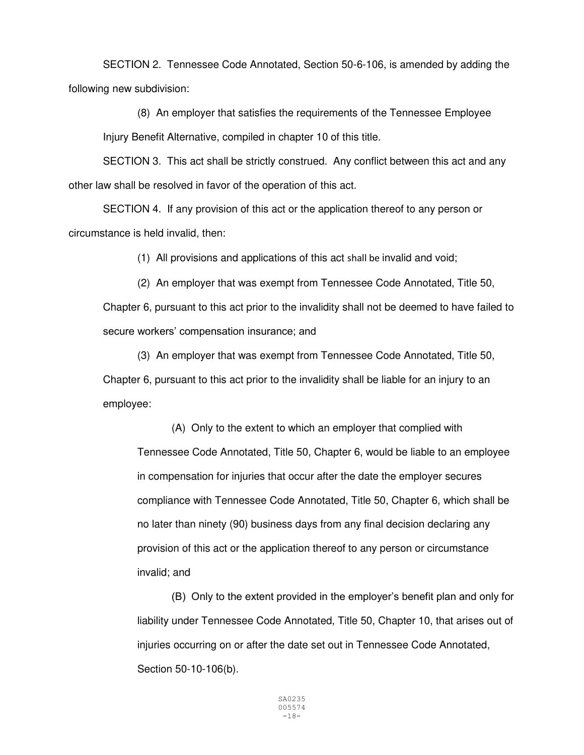SECTION 2. Tennessee Code Annotated, Section 50-6-106, is amended by adding the following new subdivision:

 (8) An employer that satisfies the requirements of the Tennessee Employee Injury Benefit Alternative, compiled in chapter 10 of this title.

SECTION 3. This act shall be strictly construed. Any conflict between this act and any other law shall be resolved in favor of the operation of this act.

 SECTION 4. If any provision of this act or the application thereof to any person or circumstance is held invalid, then:

(1) All provisions and applications of this act shall be invalid and void;

(2) An employer that was exempt from Tennessee Code Annotated, Title 50, Chapter 6, pursuant to this act prior to the invalidity shall not be deemed to have failed to secure workers' compensation insurance; and

 (3) An employer that was exempt from Tennessee Code Annotated, Title 50, Chapter 6, pursuant to this act prior to the invalidity shall be liable for an injury to an employee:

 (A) Only to the extent to which an employer that complied with Tennessee Code Annotated, Title 50, Chapter 6, would be liable to an employee in compensation for injuries that occur after the date the employer secures compliance with Tennessee Code Annotated, Title 50, Chapter 6, which shall be no later than ninety (90) business days from any final decision declaring any provision of this act or the application thereof to any person or circumstance invalid; and

(B) Only to the extent provided in the employer's benefit plan and only for liability under Tennessee Code Annotated, Title 50, Chapter 10, that arises out of injuries occurring on or after the date set out in Tennessee Code Annotated, Section 50-10-106(b).